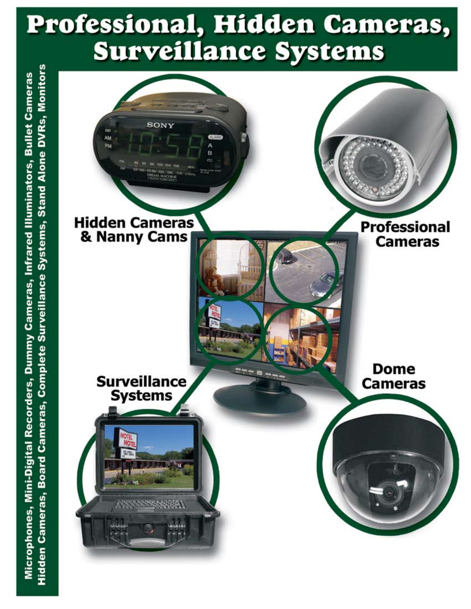# Professional, Hidden Cameras, Surveillance Systems

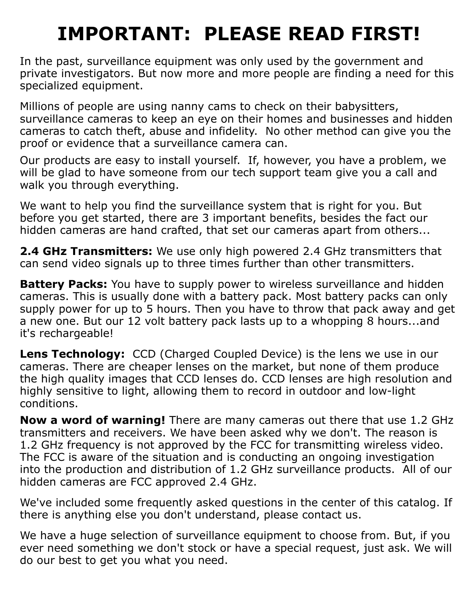# **IMPORTANT: PLEASE READ FIRST!**

In the past, surveillance equipment was only used by the government and private investigators. But now more and more people are finding a need for this specialized equipment.

Millions of people are using nanny cams to check on their babysitters, surveillance cameras to keep an eye on their homes and businesses and hidden cameras to catch theft, abuse and infidelity. No other method can give you the proof or evidence that a surveillance camera can.

Our products are easy to install yourself. If, however, you have a problem, we will be glad to have someone from our tech support team give you a call and walk you through everything.

We want to help you find the surveillance system that is right for you. But before you get started, there are 3 important benefits, besides the fact our hidden cameras are hand crafted, that set our cameras apart from others...

**2.4 GHz Transmitters:** We use only high powered 2.4 GHz transmitters that can send video signals up to three times further than other transmitters.

**Battery Packs:** You have to supply power to wireless surveillance and hidden cameras. This is usually done with a battery pack. Most battery packs can only supply power for up to 5 hours. Then you have to throw that pack away and get a new one. But our 12 volt battery pack lasts up to a whopping 8 hours...and it's rechargeable!

**Lens Technology:** CCD (Charged Coupled Device) is the lens we use in our cameras. There are cheaper lenses on the market, but none of them produce the high quality images that CCD lenses do. CCD lenses are high resolution and highly sensitive to light, allowing them to record in outdoor and low-light conditions.

**Now a word of warning!** There are many cameras out there that use 1.2 GHz transmitters and receivers. We have been asked why we don't. The reason is 1.2 GHz frequency is not approved by the FCC for transmitting wireless video. The FCC is aware of the situation and is conducting an ongoing investigation into the production and distribution of 1.2 GHz surveillance products. All of our hidden cameras are FCC approved 2.4 GHz.

We've included some frequently asked questions in the center of this catalog. If there is anything else you don't understand, please contact us.

We have a huge selection of surveillance equipment to choose from. But, if you ever need something we don't stock or have a special request, just ask. We will do our best to get you what you need.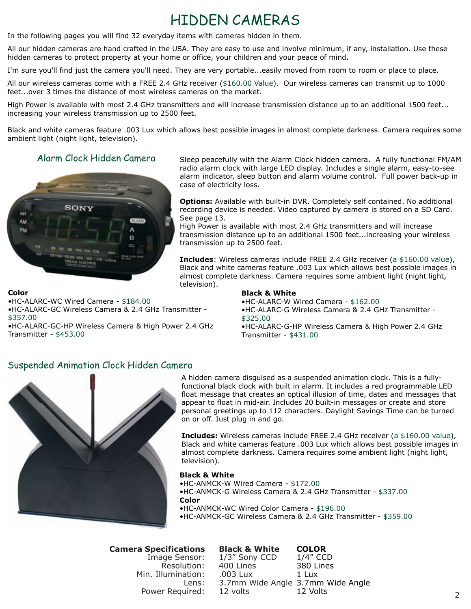In the following pages you will find 32 everyday items with cameras hidden in them.

All our hidden cameras are hand crafted in the USA. They are easy to use and involve minimum, if any, installation. Use these hidden cameras to protect property at your home or office, your children and your peace of mind.

I'm sure you'll find just the camera you'll need. They are very portable...easily moved from room to room or place to place.

All our wireless cameras come with a FREE 2.4 GHz receiver (\$160.00 Value). Our wireless cameras can transmit up to 1000 feet...over 3 times the distance of most wireless cameras on the market.

High Power is available with most 2.4 GHz transmitters and will increase transmission distance up to an additional 1500 feet... increasing your wireless transmission up to 2500 feet.

Black and white cameras feature .003 Lux which allows best possible images in almost complete darkness. Camera requires some ambient light (night light, television).

# Alarm Clock Hidden Camera



Sleep peacefully with the Alarm Clock hidden camera. A fully functional FM/AM radio alarm clock with large LED display. Includes a single alarm, easy-to-see alarm indicator, sleep button and alarm volume control. Full power back-up in case of electricity loss.

**Options:** Available with built-in DVR. Completely self contained. No additional recording device is needed. Video captured by camera is stored on a SD Card. See page 13.

High Power is available with most 2.4 GHz transmitters and will increase transmission distance up to an additional 1500 feet...increasing your wireless transmission up to 2500 feet.

**Includes**: Wireless cameras include FREE 2.4 GHz receiver (a \$160.00 value), Black and white cameras feature .003 Lux which allows best possible images in almost complete darkness. Camera requires some ambient light (night light, television).

#### **Color**

•HC-ALARC-WC Wired Camera - \$184.00 •HC-ALARC-GC Wireless Camera & 2.4 GHz Transmitter - \$357.00

•HC-ALARC-GC-HP Wireless Camera & High Power 2.4 GHz Transmitter - \$453.00

#### **Black & White**

•HC-ALARC-W Wired Camera - \$162.00 •HC-ALARC-G Wireless Camera & 2.4 GHz Transmitter - \$325.00 •HC-ALARC-G-HP Wireless Camera & High Power 2.4 GHz Transmitter - \$431.00

### Suspended Animation Clock Hidden Camera



A hidden camera disguised as a suspended animation clock. This is a fullyfunctional black clock with built in alarm. It includes a red programmable LED float message that creates an optical illusion of time, dates and messages that appear to float in mid-air. Includes 20 built-in messages or create and store personal greetings up to 112 characters. Daylight Savings Time can be turned on or off. Just plug in and go.

**Includes:** Wireless cameras include FREE 2.4 GHz receiver (a \$160.00 value), Black and white cameras feature .003 Lux which allows best possible images in almost complete darkness. Camera requires some ambient light (night light, television).

#### **Black & White**

- •HC-ANMCK-W Wired Camera \$172.00
- •HC-ANMCK-G Wireless Camera & 2.4 GHz Transmitter \$337.00 **Color**

•HC-ANMCK-WC Wired Color Camera - \$196.00

•HC-ANMCK-GC Wireless Camera & 2.4 GHz Transmitter - \$359.00

**Camera Specifications** Image Sensor: Resolution: Min. Illumination: Lens:

Power Required: 12 volts 12 Volts 2 **Black & White** 1/3" Sony CCD 400 Lines .003 Lux 3.7mm Wide Angle 3.7mm Wide Angle 12 volts **COLOR** 1/4" CCD 380 Lines 1 Lux 12 Volts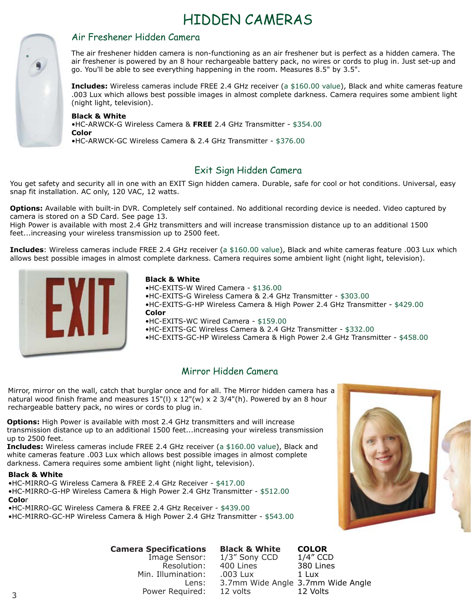

## Air Freshener Hidden Camera

The air freshener hidden camera is non-functioning as an air freshener but is perfect as a hidden camera. The air freshener is powered by an 8 hour rechargeable battery pack, no wires or cords to plug in. Just set-up and go. You'll be able to see everything happening in the room. Measures 8.5" by 3.5".

**Includes:** Wireless cameras include FREE 2.4 GHz receiver (a \$160.00 value), Black and white cameras feature .003 Lux which allows best possible images in almost complete darkness. Camera requires some ambient light (night light, television).

#### **Black & White**

•HC-ARWCK-G Wireless Camera & **FREE** 2.4 GHz Transmitter - \$354.00 **Color** •HC-ARWCK-GC Wireless Camera & 2.4 GHz Transmitter - \$376.00

# Exit Sign Hidden Camera

You get safety and security all in one with an EXIT Sign hidden camera. Durable, safe for cool or hot conditions. Universal, easy snap fit installation. AC only, 120 VAC, 12 watts.

**Options:** Available with built-in DVR. Completely self contained. No additional recording device is needed. Video captured by camera is stored on a SD Card. See page 13.

High Power is available with most 2.4 GHz transmitters and will increase transmission distance up to an additional 1500 feet...increasing your wireless transmission up to 2500 feet.

**Includes**: Wireless cameras include FREE 2.4 GHz receiver (a \$160.00 value), Black and white cameras feature .003 Lux which allows best possible images in almost complete darkness. Camera requires some ambient light (night light, television).



#### **Black & White**

•HC-EXITS-W Wired Camera - \$136.00 •HC-EXITS-G Wireless Camera & 2.4 GHz Transmitter - \$303.00 •HC-EXITS-G-HP Wireless Camera & High Power 2.4 GHz Transmitter - \$429.00 **Color** •HC-EXITS-WC Wired Camera - \$159.00 •HC-EXITS-GC Wireless Camera & 2.4 GHz Transmitter - \$332.00

•HC-EXITS-GC-HP Wireless Camera & High Power 2.4 GHz Transmitter - \$458.00

# Mirror Hidden Camera

Mirror, mirror on the wall, catch that burglar once and for all. The Mirror hidden camera has a natural wood finish frame and measures  $15"$ (I) x  $12"$ (w) x 2  $3/4"$ (h). Powered by an 8 hour rechargeable battery pack, no wires or cords to plug in.

**Options:** High Power is available with most 2.4 GHz transmitters and will increase transmission distance up to an additional 1500 feet...increasing your wireless transmission up to 2500 feet.

**Includes:** Wireless cameras include FREE 2.4 GHz receiver (a \$160.00 value), Black and white cameras feature .003 Lux which allows best possible images in almost complete darkness. Camera requires some ambient light (night light, television).

#### **Black & White**

•HC-MIRRO-G Wireless Camera & FREE 2.4 GHz Receiver - \$417.00 •HC-MIRRO-G-HP Wireless Camera & High Power 2.4 GHz Transmitter - \$512.00 **Colo**r

•HC-MIRRO-GC Wireless Camera & FREE 2.4 GHz Receiver - \$439.00 •HC-MIRRO-GC-HP Wireless Camera & High Power 2.4 GHz Transmitter - \$543.00

> **Camera Specifications** Image Sensor: Resolution: Min. Illumination: Lens: Power Required:

**Black & White** 1/3" Sony CCD 400 Lines .003 Lux 3.7mm Wide Angle 3.7mm Wide Angle 12 volts **COLOR** 1/4" CCD 380 Lines 1 Lux 12 Volts

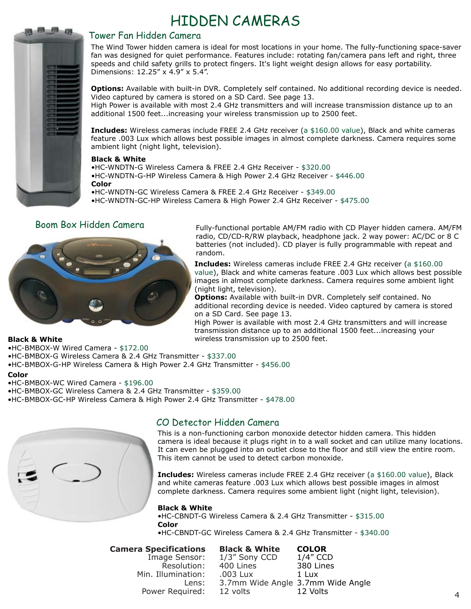

### Tower Fan Hidden Camera

The Wind Tower hidden camera is ideal for most locations in your home. The fully-functioning space-saver fan was designed for quiet performance. Features include: rotating fan/camera pans left and right, three speeds and child safety grills to protect fingers. It's light weight design allows for easy portability. Dimensions: 12.25" x 4.9" x 5.4".

**Options:** Available with built-in DVR. Completely self contained. No additional recording device is needed. Video captured by camera is stored on a SD Card. See page 13.

High Power is available with most 2.4 GHz transmitters and will increase transmission distance up to an additional 1500 feet...increasing your wireless transmission up to 2500 feet.

**Includes:** Wireless cameras include FREE 2.4 GHz receiver (a \$160.00 value), Black and white cameras feature .003 Lux which allows best possible images in almost complete darkness. Camera requires some ambient light (night light, television).

#### **Black & White**

•HC-WNDTN-G Wireless Camera & FREE 2.4 GHz Receiver - \$320.00 •HC-WNDTN-G-HP Wireless Camera & High Power 2.4 GHz Receiver - \$446.00 **Color** •HC-WNDTN-GC Wireless Camera & FREE 2.4 GHz Receiver - \$349.00 •HC-WNDTN-GC-HP Wireless Camera & High Power 2.4 GHz Receiver - \$475.00

### Boom Box Hidden Camera



Fully-functional portable AM/FM radio with CD Player hidden camera. AM/FM radio, CD/CD-R/RW playback, headphone jack. 2 way power: AC/DC or 8 C batteries (not included). CD player is fully programmable with repeat and random.

**Includes:** Wireless cameras include FREE 2.4 GHz receiver (a \$160.00 value), Black and white cameras feature .003 Lux which allows best possible images in almost complete darkness. Camera requires some ambient light (night light, television).

**Options:** Available with built-in DVR. Completely self contained. No additional recording device is needed. Video captured by camera is stored on a SD Card. See page 13.

High Power is available with most 2.4 GHz transmitters and will increase transmission distance up to an additional 1500 feet...increasing your wireless transmission up to 2500 feet.

### **Black & White**

•HC-BMBOX-W Wired Camera - \$172.00 •HC-BMBOX-G Wireless Camera & 2.4 GHz Transmitter - \$337.00

•HC-BMBOX-G-HP Wireless Camera & High Power 2.4 GHz Transmitter - \$456.00

#### **Color**

•HC-BMBOX-WC Wired Camera - \$196.00

- •HC-BMBOX-GC Wireless Camera & 2.4 GHz Transmitter \$359.00
- •HC-BMBOX-GC-HP Wireless Camera & High Power 2.4 GHz Transmitter \$478.00



# CO Detector Hidden Camera

This is a non-functioning carbon monoxide detector hidden camera. This hidden camera is ideal because it plugs right in to a wall socket and can utilize many locations. It can even be plugged into an outlet close to the floor and still view the entire room. This item cannot be used to detect carbon monoxide.

**Includes:** Wireless cameras include FREE 2.4 GHz receiver (a \$160.00 value), Black and white cameras feature .003 Lux which allows best possible images in almost complete darkness. Camera requires some ambient light (night light, television).

#### **Black & White**

•HC-CBNDT-G Wireless Camera & 2.4 GHz Transmitter - \$315.00 **Color** •HC-CBNDT-GC Wireless Camera & 2.4 GHz Transmitter - \$340.00

| <b>Camera Specifications</b> | <b>Black &amp; White</b>          | <b>COLOR</b> |
|------------------------------|-----------------------------------|--------------|
| Image Sensor:                | 1/3" Sony CCD                     | $1/4''$ CCD  |
| Resolution:                  | 400 Lines                         | 380 Lines    |
| Min. Illumination:           | .003 Lux                          | $1$ Lux      |
| Lens:                        | 3.7mm Wide Angle 3.7mm Wide Angle |              |
| Power Required:              | 12 volts                          | 12 Volts     |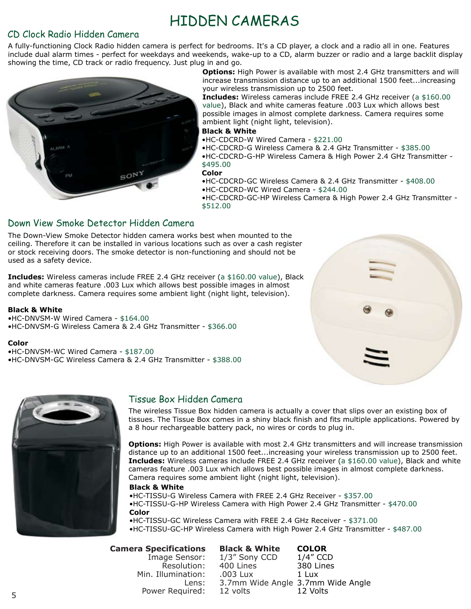# CD Clock Radio Hidden Camera

A fully-functioning Clock Radio hidden camera is perfect for bedrooms. It's a CD player, a clock and a radio all in one. Features include dual alarm times - perfect for weekdays and weekends, wake-up to a CD, alarm buzzer or radio and a large backlit display showing the time, CD track or radio frequency. Just plug in and go.



**Options:** High Power is available with most 2.4 GHz transmitters and will increase transmission distance up to an additional 1500 feet...increasing your wireless transmission up to 2500 feet.

**Includes:** Wireless cameras include FREE 2.4 GHz receiver (a \$160.00 value), Black and white cameras feature .003 Lux which allows best possible images in almost complete darkness. Camera requires some ambient light (night light, television).

#### **Black & White**

- •HC-CDCRD-W Wired Camera \$221.00
- •HC-CDCRD-G Wireless Camera & 2.4 GHz Transmitter \$385.00
- •HC-CDCRD-G-HP Wireless Camera & High Power 2.4 GHz Transmitter \$495.00

#### **Color**

- •HC-CDCRD-GC Wireless Camera & 2.4 GHz Transmitter \$408.00
- •HC-CDCRD-WC Wired Camera \$244.00
- •HC-CDCRD-GC-HP Wireless Camera & High Power 2.4 GHz Transmitter \$512.00

### Down View Smoke Detector Hidden Camera

The Down-View Smoke Detector hidden camera works best when mounted to the ceiling. Therefore it can be installed in various locations such as over a cash register or stock receiving doors. The smoke detector is non-functioning and should not be used as a safety device.

**Includes:** Wireless cameras include FREE 2.4 GHz receiver (a \$160.00 value), Black and white cameras feature .003 Lux which allows best possible images in almost complete darkness. Camera requires some ambient light (night light, television).

#### **Black & White**

•HC-DNVSM-W Wired Camera - \$164.00 •HC-DNVSM-G Wireless Camera & 2.4 GHz Transmitter - \$366.00

#### **Color**

•HC-DNVSM-WC Wired Camera - \$187.00 •HC-DNVSM-GC Wireless Camera & 2.4 GHz Transmitter - \$388.00





# Tissue Box Hidden Camera

The wireless Tissue Box hidden camera is actually a cover that slips over an existing box of tissues. The Tissue Box comes in a shiny black finish and fits multiple applications. Powered by a 8 hour rechargeable battery pack, no wires or cords to plug in.

**Options:** High Power is available with most 2.4 GHz transmitters and will increase transmission distance up to an additional 1500 feet...increasing your wireless transmission up to 2500 feet. **Includes:** Wireless cameras include FREE 2.4 GHz receiver (a \$160.00 value), Black and white cameras feature .003 Lux which allows best possible images in almost complete darkness. Camera requires some ambient light (night light, television).

#### **Black & White**

•HC-TISSU-G Wireless Camera with FREE 2.4 GHz Receiver - \$357.00

•HC-TISSU-G-HP Wireless Camera with High Power 2.4 GHz Transmitter - \$470.00 **Color**

•HC-TISSU-GC Wireless Camera with FREE 2.4 GHz Receiver - \$371.00 •HC-TISSU-GC-HP Wireless Camera with High Power 2.4 GHz Transmitter - \$487.00

| <b>Camera Specifications</b> | <b>Black &amp; White</b>          | <b>COLOR</b> |
|------------------------------|-----------------------------------|--------------|
| Image Sensor:                | 1/3" Sony CCD                     | $1/4''$ CCD  |
| Resolution:                  | 400 Lines                         | 380 Lines    |
| Min. Illumination:           | .003 Lux                          | $1$ Lux      |
| Lens:                        | 3.7mm Wide Angle 3.7mm Wide Angle |              |
| Power Required:              | 12 volts                          | 12 Volts     |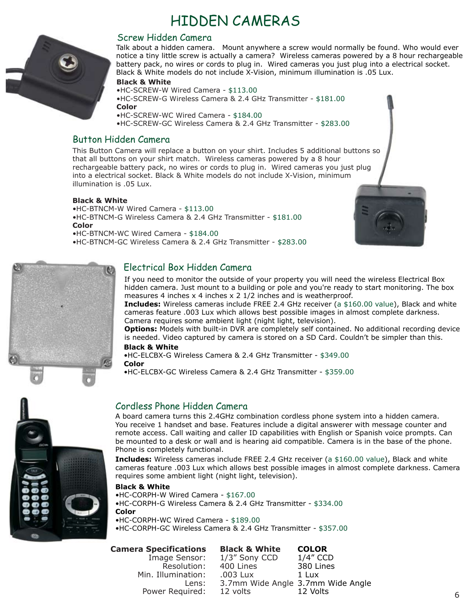

### Screw Hidden Camera

Talk about a hidden camera. Mount anywhere a screw would normally be found. Who would ever notice a tiny little screw is actually a camera? Wireless cameras powered by a 8 hour rechargeable battery pack, no wires or cords to plug in. Wired cameras you just plug into a electrical socket. Black & White models do not include X-Vision, minimum illumination is .05 Lux.

#### **Black & White**

•HC-SCREW-W Wired Camera - \$113.00 •HC-SCREW-G Wireless Camera & 2.4 GHz Transmitter - \$181.00 **Color** •HC-SCREW-WC Wired Camera - \$184.00 •HC-SCREW-GC Wireless Camera & 2.4 GHz Transmitter - \$283.00

## Button Hidden Camera

This Button Camera will replace a button on your shirt. Includes 5 additional buttons so that all buttons on your shirt match. Wireless cameras powered by a 8 hour rechargeable battery pack, no wires or cords to plug in. Wired cameras you just plug into a electrical socket. Black & White models do not include X-Vision, minimum illumination is .05 Lux.

#### **Black & White**

•HC-BTNCM-W Wired Camera - \$113.00 •HC-BTNCM-G Wireless Camera & 2.4 GHz Transmitter - \$181.00 **Color** •HC-BTNCM-WC Wired Camera - \$184.00







If you need to monitor the outside of your property you will need the wireless Electrical Box hidden camera. Just mount to a building or pole and you're ready to start monitoring. The box measures 4 inches x 4 inches x 2 1/2 inches and is weatherproof.

**Includes:** Wireless cameras include FREE 2.4 GHz receiver (a \$160.00 value), Black and white cameras feature .003 Lux which allows best possible images in almost complete darkness. Camera requires some ambient light (night light, television).

**Options:** Models with built-in DVR are completely self contained. No additional recording device is needed. Video captured by camera is stored on a SD Card. Couldn't be simpler than this.

### **Black & White**

•HC-ELCBX-G Wireless Camera & 2.4 GHz Transmitter - \$349.00 **Color**

•HC-ELCBX-GC Wireless Camera & 2.4 GHz Transmitter - \$359.00



# Cordless Phone Hidden Camera

A board camera turns this 2.4GHz combination cordless phone system into a hidden camera. You receive 1 handset and base. Features include a digital answerer with message counter and remote access. Call waiting and caller ID capabilities with English or Spanish voice prompts. Can be mounted to a desk or wall and is hearing aid compatible. Camera is in the base of the phone. Phone is completely functional.

**Includes:** Wireless cameras include FREE 2.4 GHz receiver (a \$160.00 value), Black and white cameras feature .003 Lux which allows best possible images in almost complete darkness. Camera requires some ambient light (night light, television).

#### **Black & White**

•HC-CORPH-W Wired Camera - \$167.00 •HC-CORPH-G Wireless Camera & 2.4 GHz Transmitter - \$334.00 **Color** •HC-CORPH-WC Wired Camera - \$189.00 •HC-CORPH-GC Wireless Camera & 2.4 GHz Transmitter - \$357.00

| 3.7mm Wide Angle 3.7mm Wide Angle |
|-----------------------------------|
|                                   |
|                                   |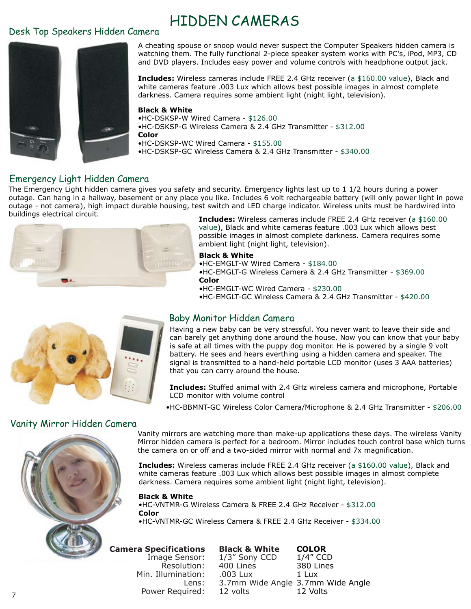# Desk Top Speakers Hidden Camera



A cheating spouse or snoop would never suspect the Computer Speakers hidden camera is watching them. The fully functional 2-piece speaker system works with PC's, iPod, MP3, CD and DVD players. Includes easy power and volume controls with headphone output jack.

**Includes:** Wireless cameras include FREE 2.4 GHz receiver (a \$160.00 value), Black and white cameras feature .003 Lux which allows best possible images in almost complete darkness. Camera requires some ambient light (night light, television).

#### **Black & White**

•HC-DSKSP-W Wired Camera - \$126.00 •HC-DSKSP-G Wireless Camera & 2.4 GHz Transmitter - \$312.00 **Color** •HC-DSKSP-WC Wired Camera - \$155.00 •HC-DSKSP-GC Wireless Camera & 2.4 GHz Transmitter - \$340.00

### Emergency Light Hidden Camera

The Emergency Light hidden camera gives you safety and security. Emergency lights last up to 1 1/2 hours during a power outage. Can hang in a hallway, basement or any place you like. Includes 6 volt rechargeable battery (will only power light in powe outage - not camera), high impact durable housing, test switch and LED charge indicator. Wireless units must be hardwired into buildings electrical circuit.



**Includes:** Wireless cameras include FREE 2.4 GHz receiver (a \$160.00 value), Black and white cameras feature .003 Lux which allows best possible images in almost complete darkness. Camera requires some ambient light (night light, television).

#### **Black & White**

•HC-EMGLT-W Wired Camera - \$184.00 •HC-EMGLT-G Wireless Camera & 2.4 GHz Transmitter - \$369.00 **Color** •HC-EMGLT-WC Wired Camera - \$230.00 •HC-EMGLT-GC Wireless Camera & 2.4 GHz Transmitter - \$420.00



# Baby Monitor Hidden Camera

Having a new baby can be very stressful. You never want to leave their side and can barely get anything done around the house. Now you can know that your baby is safe at all times with the puppy dog monitor. He is powered by a single 9 volt battery. He sees and hears everthing using a hidden camera and speaker. The signal is transmitted to a hand-held portable LCD monitor (uses 3 AAA batteries) that you can carry around the house.

**Includes:** Stuffed animal with 2.4 GHz wireless camera and microphone, Portable LCD monitor with volume control

•HC-BBMNT-GC Wireless Color Camera/Microphone & 2.4 GHz Transmitter - \$206.00

# Vanity Mirror Hidden Camera



Vanity mirrors are watching more than make-up applications these days. The wireless Vanity Mirror hidden camera is perfect for a bedroom. Mirror includes touch control base which turns the camera on or off and a two-sided mirror with normal and 7x magnification.

**Includes:** Wireless cameras include FREE 2.4 GHz receiver (a \$160.00 value), Black and white cameras feature .003 Lux which allows best possible images in almost complete darkness. Camera requires some ambient light (night light, television).

#### **Black & White**

•HC-VNTMR-G Wireless Camera & FREE 2.4 GHz Receiver - \$312.00 **Color** •HC-VNTMR-GC Wireless Camera & FREE 2.4 GHz Receiver - \$334.00

**Camera Specifications** Image Sensor: Resolution: Min. Illumination: Lens: Power Required:

**Black & White** 1/3" Sony CCD 400 Lines .003 Lux 3.7mm Wide Angle 3.7mm Wide Angle 12 volts **COLOR** 1/4" CCD 380 Lines 1 Lux 12 Volts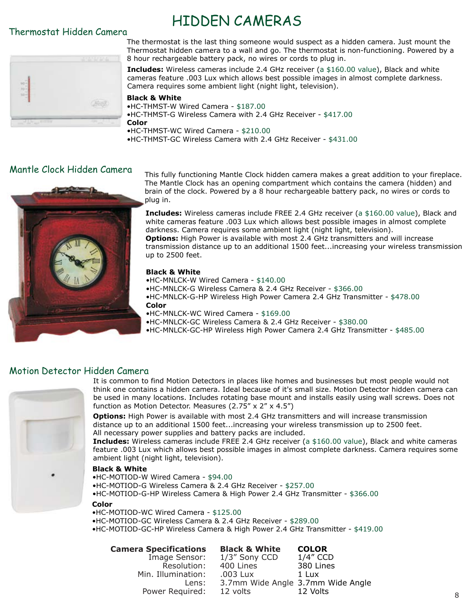# Thermostat Hidden Camera

# HIDDEN CAMERAS



The thermostat is the last thing someone would suspect as a hidden camera. Just mount the Thermostat hidden camera to a wall and go. The thermostat is non-functioning. Powered by a 8 hour rechargeable battery pack, no wires or cords to plug in.

**Includes:** Wireless cameras include 2.4 GHz receiver (a \$160.00 value), Black and white cameras feature .003 Lux which allows best possible images in almost complete darkness. Camera requires some ambient light (night light, television).

#### **Black & White**

•HC-THMST-W Wired Camera - \$187.00 •HC-THMST-G Wireless Camera with 2.4 GHz Receiver - \$417.00 **Color** 

•HC-THMST-WC Wired Camera - \$210.00 •HC-THMST-GC Wireless Camera with 2.4 GHz Receiver - \$431.00

# Mantle Clock Hidden Camera



This fully functioning Mantle Clock hidden camera makes a great addition to your fireplace. The Mantle Clock has an opening compartment which contains the camera (hidden) and brain of the clock. Powered by a 8 hour rechargeable battery pack, no wires or cords to plug in.

**Includes:** Wireless cameras include FREE 2.4 GHz receiver (a \$160.00 value), Black and white cameras feature .003 Lux which allows best possible images in almost complete darkness. Camera requires some ambient light (night light, television). **Options:** High Power is available with most 2.4 GHz transmitters and will increase transmission distance up to an additional 1500 feet...increasing your wireless transmission up to 2500 feet.

#### **Black & White**

•HC-MNLCK-W Wired Camera - \$140.00 •HC-MNLCK-G Wireless Camera & 2.4 GHz Receiver - \$366.00 •HC-MNLCK-G-HP Wireless High Power Camera 2.4 GHz Transmitter - \$478.00 **Color** •HC-MNLCK-WC Wired Camera - \$169.00

•HC-MNLCK-GC Wireless Camera & 2.4 GHz Receiver - \$380.00

•HC-MNLCK-GC-HP Wireless High Power Camera 2.4 GHz Transmitter - \$485.00

# Motion Detector Hidden Camera



It is common to find Motion Detectors in places like homes and businesses but most people would not think one contains a hidden camera. Ideal because of it's small size. Motion Detector hidden camera can be used in many locations. Includes rotating base mount and installs easily using wall screws. Does not function as Motion Detector. Measures (2.75" x 2" x 4.5")

**Options:** High Power is available with most 2.4 GHz transmitters and will increase transmission distance up to an additional 1500 feet...increasing your wireless transmission up to 2500 feet. All necessary power supplies and battery packs are included.

**Includes:** Wireless cameras include FREE 2.4 GHz receiver (a \$160.00 value), Black and white cameras feature .003 Lux which allows best possible images in almost complete darkness. Camera requires some ambient light (night light, television).

#### **Black & White**

- •HC-MOTIOD-W Wired Camera \$94.00
- •HC-MOTIOD-G Wireless Camera & 2.4 GHz Receiver \$257.00

•HC-MOTIOD-G-HP Wireless Camera & High Power 2.4 GHz Transmitter - \$366.00

#### **Color**

•HC-MOTIOD-WC Wired Camera - \$125.00

•HC-MOTIOD-GC Wireless Camera & 2.4 GHz Receiver - \$289.00

•HC-MOTIOD-GC-HP Wireless Camera & High Power 2.4 GHz Transmitter - \$419.00

| <b>Camera Specifications</b> | <b>Black &amp; White</b>          | <b>COLOR</b> |
|------------------------------|-----------------------------------|--------------|
| Image Sensor:                | 1/3" Sony CCD                     | $1/4''$ CCD  |
| Resolution:                  | 400 Lines                         | 380 Lines    |
| Min. Illumination:           | .003 Lux                          | $1$ Lux      |
| Lens:                        | 3.7mm Wide Angle 3.7mm Wide Angle |              |
| Power Required:              | 12 volts                          | 12 Volts     |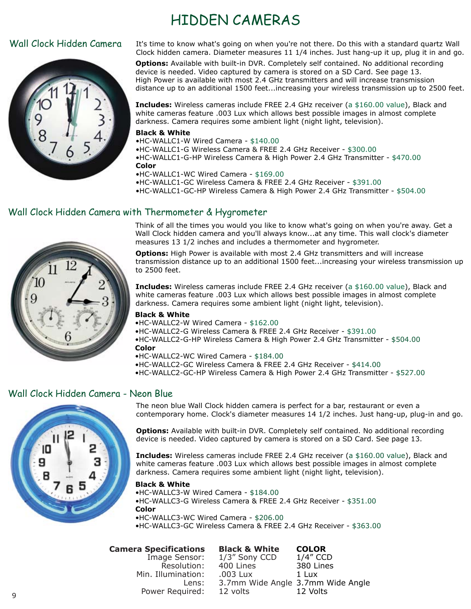

Wall Clock Hidden Camera It's time to know what's going on when you're not there. Do this with a standard quartz Wall Clock hidden camera. Diameter measures 11 1/4 inches. Just hang-up it up, plug it in and go.

> **Options:** Available with built-in DVR. Completely self contained. No additional recording device is needed. Video captured by camera is stored on a SD Card. See page 13. High Power is available with most 2.4 GHz transmitters and will increase transmission distance up to an additional 1500 feet...increasing your wireless transmission up to 2500 feet.

**Includes:** Wireless cameras include FREE 2.4 GHz receiver (a \$160.00 value), Black and white cameras feature .003 Lux which allows best possible images in almost complete darkness. Camera requires some ambient light (night light, television).

#### **Black & White**

•HC-WALLC1-W Wired Camera - \$140.00

•HC-WALLC1-G Wireless Camera & FREE 2.4 GHz Receiver - \$300.00 •HC-WALLC1-G-HP Wireless Camera & High Power 2.4 GHz Transmitter - \$470.00 **Color**

•HC-WALLC1-WC Wired Camera - \$169.00

•HC-WALLC1-GC Wireless Camera & FREE 2.4 GHz Receiver - \$391.00

•HC-WALLC1-GC-HP Wireless Camera & High Power 2.4 GHz Transmitter - \$504.00

# Wall Clock Hidden Camera with Thermometer & Hygrometer

Think of all the times you would you like to know what's going on when you're away. Get a Wall Clock hidden camera and you'll always know...at any time. This wall clock's diameter measures 13 1/2 inches and includes a thermometer and hygrometer.

**Options:** High Power is available with most 2.4 GHz transmitters and will increase transmission distance up to an additional 1500 feet...increasing your wireless transmission up to 2500 feet.

**Includes:** Wireless cameras include FREE 2.4 GHz receiver (a \$160.00 value), Black and white cameras feature .003 Lux which allows best possible images in almost complete darkness. Camera requires some ambient light (night light, television).

### **Black & White**

•HC-WALLC2-W Wired Camera - \$162.00

•HC-WALLC2-G Wireless Camera & FREE 2.4 GHz Receiver - \$391.00 •HC-WALLC2-G-HP Wireless Camera & High Power 2.4 GHz Transmitter - \$504.00 **Color**

•HC-WALLC2-WC Wired Camera - \$184.00

•HC-WALLC2-GC Wireless Camera & FREE 2.4 GHz Receiver - \$414.00

•HC-WALLC2-GC-HP Wireless Camera & High Power 2.4 GHz Transmitter - \$527.00

# Wall Clock Hidden Camera - Neon Blue



The neon blue Wall Clock hidden camera is perfect for a bar, restaurant or even a contemporary home. Clock's diameter measures 14 1/2 inches. Just hang-up, plug-in and go.

**Options:** Available with built-in DVR. Completely self contained. No additional recording device is needed. Video captured by camera is stored on a SD Card. See page 13.

**Includes:** Wireless cameras include FREE 2.4 GHz receiver (a \$160.00 value), Black and white cameras feature .003 Lux which allows best possible images in almost complete darkness. Camera requires some ambient light (night light, television).

### **Black & White**

•HC-WALLC3-W Wired Camera - \$184.00 •HC-WALLC3-G Wireless Camera & FREE 2.4 GHz Receiver - \$351.00 **Color** •HC-WALLC3-WC Wired Camera - \$206.00 •HC-WALLC3-GC Wireless Camera & FREE 2.4 GHz Receiver - \$363.00

| <b>Camera Specifications</b> | <b>Black &amp; White</b>          | <b>COLOR</b> |
|------------------------------|-----------------------------------|--------------|
| Image Sensor:                | 1/3" Sony CCD                     | $1/4''$ CCD  |
| Resolution:                  | 400 Lines                         | 380 Lines    |
| Min. Illumination:           | .003 Lux                          | $1$ Lux      |
| Lens:                        | 3.7mm Wide Angle 3.7mm Wide Angle |              |
| Power Required:              | 12 volts                          | 12 Volts     |

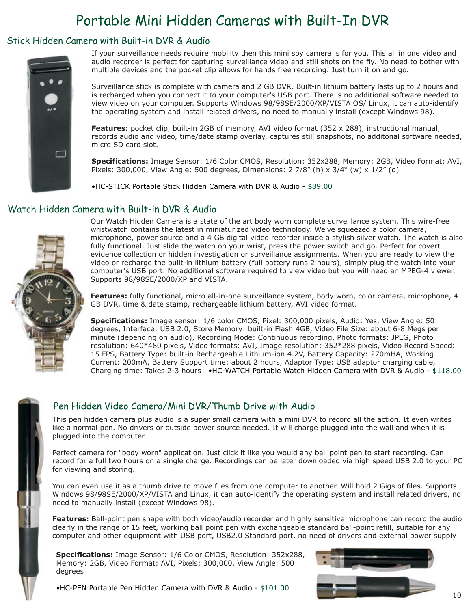# Portable Mini Hidden Cameras with Built-In DVR

# Stick Hidden Camera with Built-in DVR & Audio



If your surveillance needs require mobility then this mini spy camera is for you. This all in one video and audio recorder is perfect for capturing surveillance video and still shots on the fly. No need to bother with multiple devices and the pocket clip allows for hands free recording. Just turn it on and go.

Surveillance stick is complete with camera and 2 GB DVR. Built-in lithium battery lasts up to 2 hours and is recharged when you connect it to your computer's USB port. There is no additional software needed to view video on your computer. Supports Windows 98/98SE/2000/XP/VISTA OS/ Linux, it can auto-identify the operating system and install related drivers, no need to manually install (except Windows 98).

Features: pocket clip, built-in 2GB of memory, AVI video format (352 x 288), instructional manual, records audio and video, time/date stamp overlay, captures still snapshots, no additonal software needed, micro SD card slot.

**Specifications:** Image Sensor: 1/6 Color CMOS, Resolution: 352x288, Memory: 2GB, Video Format: AVI, Pixels: 300,000, View Angle: 500 degrees, Dimensions: 2 7/8" (h) x 3/4" (w) x 1/2" (d)

•HC-STICK Portable Stick Hidden Camera with DVR & Audio - \$89.00

# Watch Hidden Camera with Built-in DVR & Audio



Our Watch Hidden Camera is a state of the art body worn complete surveillance system. This wire-free wristwatch contains the latest in miniaturized video technology. We've squeezed a color camera, microphone, power source and a 4 GB digital video recorder inside a stylish silver watch. The watch is also fully functional. Just slide the watch on your wrist, press the power switch and go. Perfect for covert evidence collection or hidden investigation or surveillance assignments. When you are ready to view the video or recharge the built-in lithium battery (full battery runs 2 hours), simply plug the watch into your computer's USB port. No additional software required to view video but you will need an MPEG-4 viewer. Supports 98/98SE/2000/XP and VISTA.

**Features:** fully functional, micro all-in-one surveillance system, body worn, color camera, microphone, 4 GB DVR, time & date stamp, rechargeable lithium battery, AVI video format.

**Specifications:** Image sensor: 1/6 color CMOS, Pixel: 300,000 pixels, Audio: Yes, View Angle: 50 degrees, Interface: USB 2.0, Store Memory: built-in Flash 4GB, Video File Size: about 6-8 Megs per minute (depending on audio), Recording Mode: Continuous recording, Photo formats: JPEG, Photo resolution: 640\*480 pixels, Video formats: AVI, Image resolution: 352\*288 pixels, Video Record Speed: 15 FPS, Battery Type: built-in Rechargeable Lithium-ion 4.2V, Battery Capacity: 270mHA, Working Current: 200mA, Battery Support time: about 2 hours, Adaptor Type: USB adaptor charging cable, Charging time: Takes 2-3 hours •HC-WATCH Portable Watch Hidden Camera with DVR & Audio - \$118.00

# Pen Hidden Video Camera/Mini DVR/Thumb Drive with Audio

This pen hidden camera plus audio is a super small camera with a mini DVR to record all the action. It even writes like a normal pen. No drivers or outside power source needed. It will charge plugged into the wall and when it is plugged into the computer.

Perfect camera for "body worn" application. Just click it like you would any ball point pen to start recording. Can record for a full two hours on a single charge. Recordings can be later downloaded via high speed USB 2.0 to your PC for viewing and storing.

You can even use it as a thumb drive to move files from one computer to another. Will hold 2 Gigs of files. Supports Windows 98/98SE/2000/XP/VISTA and Linux, it can auto-identify the operating system and install related drivers, no need to manually install (except Windows 98).

**Features:** Ball-point pen shape with both video/audio recorder and highly sensitive microphone can record the audio clearly in the range of 15 feet, working ball point pen with exchangeable standard ball-point refill, suitable for any computer and other equipment with USB port, USB2.0 Standard port, no need of drivers and external power supply

**Specifications:** Image Sensor: 1/6 Color CMOS, Resolution: 352x288, Memory: 2GB, Video Format: AVI, Pixels: 300,000, View Angle: 500 degrees



•HC-PEN Portable Pen Hidden Camera with DVR & Audio - \$101.00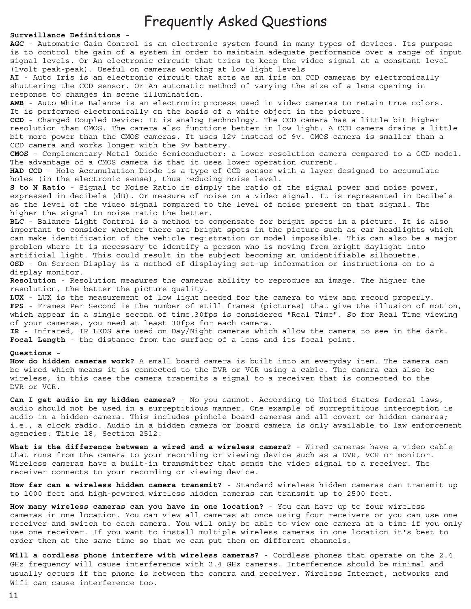# Frequently Asked Questions

#### **Surveillance Definitions** -

**AGC** - Automatic Gain Control is an electronic system found in many types of devices. Its purpose is to control the gain of a system in order to maintain adequate performance over a range of input signal levels. Or An electronic circuit that tries to keep the video signal at a constant level (1volt peak-peak). Useful on cameras working at low light levels

**AI** - Auto Iris is an electronic circuit that acts as an iris on CCD cameras by electronically shuttering the CCD sensor. Or An automatic method of varying the size of a lens opening in response to changes in scene illumination.

**AWB** - Auto White Balance is an electronic process used in video cameras to retain true colors. It is performed electronically on the basis of a white object in the picture.

**CCD** - Charged Coupled Device: It is analog technology. The CCD camera has a little bit higher resolution than CMOS. The camera also functions better in low light. A CCD camera drains a little bit more power than the CMOS cameras. It uses 12v instead of 9v. CMOS camera is smaller than a CCD camera and works longer with the 9v battery.

**CMOS** - Complementary Metal Oxide Semiconductor: a lower resolution camera compared to a CCD model. The advantage of a CMOS camera is that it uses lower operation current.

**HAD CCD** - Hole Accumulation Diode is a type of CCD sensor with a layer designed to accumulate holes (in the electronic sense), thus reducing noise level.

**S to N Ratio** - Signal to Noise Ratio is simply the ratio of the signal power and noise power, expressed in decibels (dB). Or measure of noise on a video signal. It is represented in Decibels as the level of the video signal compared to the level of noise present on that signal. The higher the signal to noise ratio the better.

**BLC** - Balance Light Control is a method to compensate for bright spots in a picture. It is also important to consider whether there are bright spots in the picture such as car headlights which can make identification of the vehicle registration or model impossible. This can also be a major problem where it is necessary to identify a person who is moving from bright daylight into artificial light. This could result in the subject becoming an unidentifiable silhouette. **OSD** - On Screen Display is a method of displaying set-up information or instructions on to a display monitor.

**Resolution** - Resolution measures the cameras ability to reproduce an image. The higher the resolution, the better the picture quality.

**LUX** - LUX is the measurement of low light needed for the camera to view and record properly. **FPS** - Frames Per Second is the number of still frames (pictures) that give the illusion of motion, which appear in a single second of time.30fps is considered "Real Time". So for Real Time viewing of your cameras, you need at least 30fps for each camera.

**IR** - Infrared, IR LEDS are used on Day/Night cameras which allow the camera to see in the dark. **Focal Length** - the distance from the surface of a lens and its focal point.

#### **Questions** -

**How do hidden cameras work?** A small board camera is built into an everyday item. The camera can be wired which means it is connected to the DVR or VCR using a cable. The camera can also be wireless, in this case the camera transmits a signal to a receiver that is connected to the DVR or VCR.

**Can I get audio in my hidden camera?** - No you cannot. According to United States federal laws, audio should not be used in a surreptitious manner. One example of surreptitious interception is audio in a hidden camera. This includes pinhole board cameras and all covert or hidden cameras; i.e., a clock radio. Audio in a hidden camera or board camera is only available to law enforcement agencies. Title 18, Section 2512.

**What is the difference between a wired and a wireless camera?** - Wired cameras have a video cable that runs from the camera to your recording or viewing device such as a DVR, VCR or monitor. Wireless cameras have a built-in transmitter that sends the video signal to a receiver. The receiver connects to your recording or viewing device.

**How far can a wireless hidden camera transmit?** - Standard wireless hidden cameras can transmit up to 1000 feet and high-powered wireless hidden cameras can transmit up to 2500 feet.

**How many wireless cameras can you have in one location?** - You can have up to four wireless cameras in one location. You can view all cameras at once using four receivers or you can use one receiver and switch to each camera. You will only be able to view one camera at a time if you only use one receiver. If you want to install multiple wireless cameras in one location it's best to order them at the same time so that we can put them on different channels.

**Will a cordless phone interfere with wireless cameras?** - Cordless phones that operate on the 2.4 GHz frequency will cause interference with 2.4 GHz cameras. Interference should be minimal and usually occurs if the phone is between the camera and receiver. Wireless Internet, networks and Wifi can cause interference too.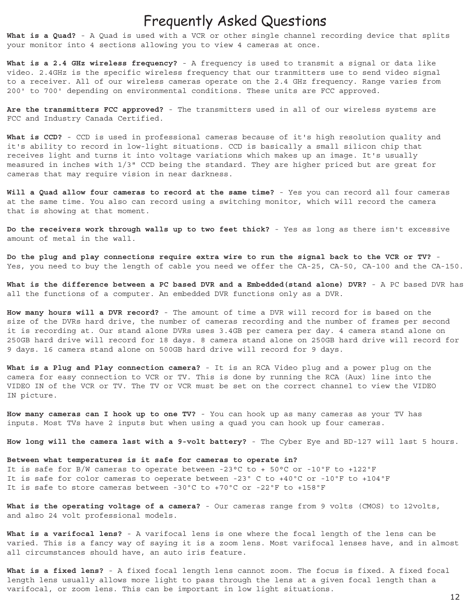# Frequently Asked Questions

**What is a Quad?** - A Quad is used with a VCR or other single channel recording device that splits your monitor into 4 sections allowing you to view 4 cameras at once.

**What is a 2.4 GHz wireless frequency?** - A frequency is used to transmit a signal or data like video. 2.4GHz is the specific wireless frequency that our tranmitters use to send video signal to a receiver. All of our wireless cameras operate on the 2.4 GHz frequency. Range varies from 200' to 700' depending on environmental conditions. These units are FCC approved.

**Are the transmitters FCC approved?** - The transmitters used in all of our wireless systems are FCC and Industry Canada Certified.

**What is CCD?** - CCD is used in professional cameras because of it's high resolution quality and it's ability to record in low-light situations. CCD is basically a small silicon chip that receives light and turns it into voltage variations which makes up an image. It's usually measured in inches with 1/3" CCD being the standard. They are higher priced but are great for cameras that may require vision in near darkness.

**Will a Quad allow four cameras to record at the same time?** - Yes you can record all four cameras at the same time. You also can record using a switching monitor, which will record the camera that is showing at that moment.

**Do the receivers work through walls up to two feet thick?** - Yes as long as there isn't excessive amount of metal in the wall.

**Do the plug and play connections require extra wire to run the signal back to the VCR or TV?** - Yes, you need to buy the length of cable you need we offer the CA-25, CA-50, CA-100 and the CA-150.

**What is the difference between a PC based DVR and a Embedded(stand alone) DVR?** - A PC based DVR has all the functions of a computer. An embedded DVR functions only as a DVR.

**How many hours will a DVR record?** - The amount of time a DVR will record for is based on the size of the DVRs hard drive, the number of cameras recording and the number of frames per second it is recording at. Our stand alone DVRs uses 3.4GB per camera per day. 4 camera stand alone on 250GB hard drive will record for 18 days. 8 camera stand alone on 250GB hard drive will record for 9 days. 16 camera stand alone on 500GB hard drive will record for 9 days.

**What is a Plug and Play connection camera?** - It is an RCA Video plug and a power plug on the camera for easy connection to VCR or TV. This is done by running the RCA (Aux) line into the VIDEO IN of the VCR or TV. The TV or VCR must be set on the correct channel to view the VIDEO IN picture.

**How many cameras can I hook up to one TV?** - You can hook up as many cameras as your TV has inputs. Most TVs have 2 inputs but when using a quad you can hook up four cameras.

**How long will the camera last with a 9-volt battery?** - The Cyber Eye and BD-127 will last 5 hours.

#### **Between what temperatures is it safe for cameras to operate in?**

It is safe for B/W cameras to operate between -23°C to + 50°C or -10ºF to +122ºF It is safe for color cameras to oeperate between -23º C to +40ºC or -10ºF to +104ºF It is safe to store cameras between -30ºC to +70ºC or -22ºF to +158ºF

**What is the operating voltage of a camera?** - Our cameras range from 9 volts (CMOS) to 12volts, and also 24 volt professional models.

**What is a varifocal lens?** - A varifocal lens is one where the focal length of the lens can be varied. This is a fancy way of saying it is a zoom lens. Most varifocal lenses have, and in almost all circumstances should have, an auto iris feature.

**What is a fixed lens?** - A fixed focal length lens cannot zoom. The focus is fixed. A fixed focal length lens usually allows more light to pass through the lens at a given focal length than a varifocal, or zoom lens. This can be important in low light situations.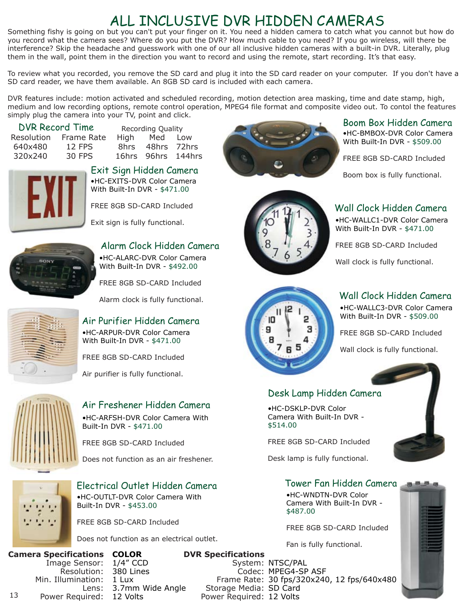# ALL INCLUSIVE DVR HIDDEN CAMERAS

Something fishy is going on but you can't put your finger on it. You need a hidden camera to catch what you cannot but how do you record what the camera sees? Where do you put the DVR? How much cable to you need? If you go wireless, will there be interference? Skip the headache and guesswork with one of our all inclusive hidden cameras with a built-in DVR. Literally, plug them in the wall, point them in the direction you want to record and using the remote, start recording. It's that easy.

To review what you recorded, you remove the SD card and plug it into the SD card reader on your computer. If you don't have a SD card reader, we have them available. An 8GB SD card is included with each camera.

DVR features include: motion activated and scheduled recording, motion detection area masking, time and date stamp, high, medium and low recording options, remote control operation, MPEG4 file format and composite video out. To contol the features simply plug the camera into your TV, point and click.

DVR Record Time Recording Quality

Resolution Frame Rate High Med Low 640x480 12 FPS 8hrs 48hrs 72hrs 320x240 30 FPS 16hrs 96hrs 144hrs



**Boom box is fully functional.**<br>•HC-EXITS-DVR Color Camera With Built-In DVR - \$471.00 Exit Sign Hidden Camera

FREE 8GB SD-CARD Included

Exit sign is fully functional.



# •HC-ALARC-DVR Color Camera Alarm Clock Hidden Camera

With Built-In DVR - \$492.00

FREE 8GB SD-CARD Included

Alarm clock is fully functional.



Air Purifier Hidden Camera •HC-ARPUR-DVR Color Camera With Built-In DVR - \$471.00

FREE 8GB SD-CARD Included

Air purifier is fully functional.



# Air Freshener Hidden Camera •HC-ARFSH-DVR Color Camera With

Built-In DVR - \$471.00

FREE 8GB SD-CARD Included

Does not function as an air freshener.



13

Electrical Outlet Hidden Camera •HC-OUTLT-DVR Color Camera With Built-In DVR - \$453.00

FREE 8GB SD-CARD Included

Does not function as an electrical outlet.



Power Required: 12 Volts

# **DVR Specifications**



#### •HC-BMBOX-DVR Color Camera Boom Box Hidden Camera

With Built-In DVR - \$509.00

FREE 8GB SD-CARD Included

# Wall Clock Hidden Camera

•HC-WALLC1-DVR Color Camera With Built-In DVR - \$471.00

FREE 8GB SD-CARD Included

Wall clock is fully functional.



# Wall Clock Hidden Camera

•HC-WALLC3-DVR Color Camera With Built-In DVR - \$509.00

FREE 8GB SD-CARD Included

Wall clock is fully functional.



# Desk Lamp Hidden Camera

•HC-DSKLP-DVR Color Camera With Built-In DVR - \$514.00

FREE 8GB SD-CARD Included

Desk lamp is fully functional.

# Tower Fan Hidden Camera

•HC-WNDTN-DVR Color Camera With Built-In DVR - \$487.00

FREE 8GB SD-CARD Included

Fan is fully functional.



System: NTSC/PAL Codec: MPEG4-SP ASF Frame Rate: 30 fps/320x240, 12 fps/640x480 Storage Media: SD Card Power Required: 12 Volts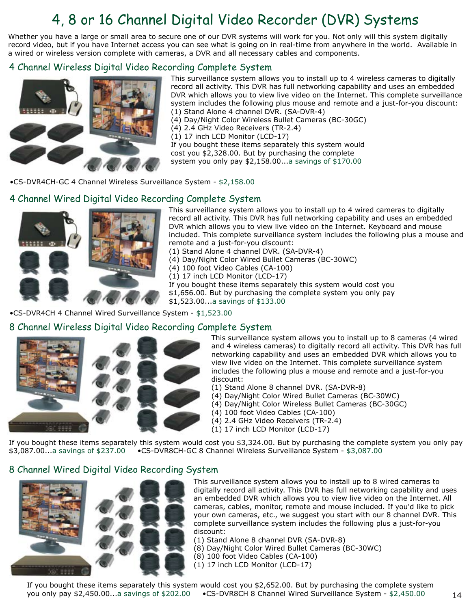# 4, 8 or 16 Channel Digital Video Recorder (DVR) Systems

Whether you have a large or small area to secure one of our DVR systems will work for you. Not only will this system digitally record video, but if you have Internet access you can see what is going on in real-time from anywhere in the world. Available in a wired or wireless version complete with cameras, a DVR and all necessary cables and components.

# 4 Channel Wireless Digital Video Recording Complete System



This surveillance system allows you to install up to 4 wireless cameras to digitally record all activity. This DVR has full networking capability and uses an embedded DVR which allows you to view live video on the Internet. This complete surveillance system includes the following plus mouse and remote and a just-for-you discount: (1) Stand Alone 4 channel DVR. (SA-DVR-4) (4) Day/Night Color Wireless Bullet Cameras (BC-30GC) (4) 2.4 GHz Video Receivers (TR-2.4) (1) 17 inch LCD Monitor (LCD-17) If you bought these items separately this system would cost you \$2,328.00. But by purchasing the complete system you only pay \$2,158.00...a savings of \$170.00

### •CS-DVR4CH-GC 4 Channel Wireless Surveillance System - \$2,158.00

# 4 Channel Wired Digital Video Recording Complete System



This surveillance system allows you to install up to 4 wired cameras to digitally record all activity. This DVR has full networking capability and uses an embedded DVR which allows you to view live video on the Internet. Keyboard and mouse included. This complete surveillance system includes the following plus a mouse and remote and a just-for-you discount:

(1) Stand Alone 4 channel DVR. (SA-DVR-4)

(4) Day/Night Color Wired Bullet Cameras (BC-30WC)

(4) 100 foot Video Cables (CA-100)

(1) 17 inch LCD Monitor (LCD-17)

If you bought these items separately this system would cost you

\$1,656.00. But by purchasing the complete system you only pay

\$1,523.00...a savings of \$133.00

•CS-DVR4CH 4 Channel Wired Surveillance System - \$1,523.00

# 8 Channel Wireless Digital Video Recording Complete System



This surveillance system allows you to install up to 8 cameras (4 wired and 4 wireless cameras) to digitally record all activity. This DVR has full networking capability and uses an embedded DVR which allows you to view live video on the Internet. This complete surveillance system includes the following plus a mouse and remote and a just-for-you discount:

- (1) Stand Alone 8 channel DVR. (SA-DVR-8)
- (4) Day/Night Color Wired Bullet Cameras (BC-30WC)
- (4) Day/Night Color Wireless Bullet Cameras (BC-30GC)
- (4) 100 foot Video Cables (CA-100)
- (4) 2.4 GHz Video Receivers (TR-2.4)
- (1) 17 inch LCD Monitor (LCD-17)

If you bought these items separately this system would cost you \$3,324.00. But by purchasing the complete system you only pay \$3,087.00...a savings of \$237.00 •CS-DVR8CH-GC 8 Channel Wireless Surveillance System - \$3,087.00

# 8 Channel Wired Digital Video Recording System



This surveillance system allows you to install up to 8 wired cameras to digitally record all activity. This DVR has full networking capability and uses an embedded DVR which allows you to view live video on the Internet. All cameras, cables, monitor, remote and mouse included. If you'd like to pick your own cameras, etc., we suggest you start with our 8 channel DVR. This complete surveillance system includes the following plus a just-for-you discount:

- (1) Stand Alone 8 channel DVR (SA-DVR-8)
- (8) Day/Night Color Wired Bullet Cameras (BC-30WC)
- (8) 100 foot Video Cables (CA-100)
- (1) 17 inch LCD Monitor (LCD-17)

If you bought these items separately this system would cost you \$2,652.00. But by purchasing the complete system you only pay \$2,450.00...a savings of \$202.00 •CS-DVR8CH 8 Channel Wired Surveillance System - \$2,450.00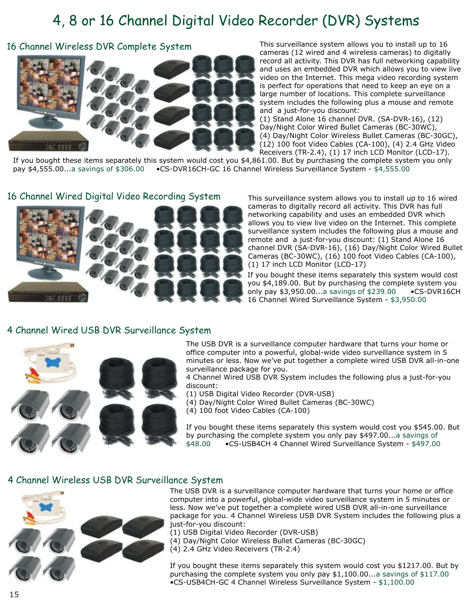# 4, 8 or 16 Channel Digital Video Recorder (DVR) Systems



16 Channel Wireless DVR Complete System This surveillance system allows you to install up to 16 cameras (12 wired and 4 wireless cameras) to digitally record all activity. This DVR has full networking capability and uses an embedded DVR which allows you to view live video on the Internet. This mega video recording system is perfect for operations that need to keep an eye on a large number of locations. This complete surveillance system includes the following plus a mouse and remote and a just-for-you discount:

(1) Stand Alone 16 channel DVR. (SA-DVR-16), (12) Day/Night Color Wired Bullet Cameras (BC-30WC), (4) Day/Night Color Wireless Bullet Cameras (BC-30GC), (12) 100 foot Video Cables (CA-100), (4) 2.4 GHz Video Receivers (TR-2.4), (1) 17 inch LCD Monitor (LCD-17).

If you bought these items separately this system would cost you \$4,861.00. But by purchasing the complete system you only pay \$4,555.00...a savings of \$306.00•CS-DVR16CH-GC 16 Channel Wireless Surveillance System - \$4,555.00

### 16 Channel Wired Digital Video Recording System



This surveillance system allows you to install up to 16 wired cameras to digitally record all activity. This DVR has full networking capability and uses an embedded DVR which allows you to view live video on the Internet. This complete surveillance system includes the following plus a mouse and remote and a just-for-you discount: (1) Stand Alone 16 channel DVR (SA-DVR-16), (16) Day/Night Color Wired Bullet Cameras (BC-30WC), (16) 100 foot Video Cables (CA-100), (1) 17 inch LCD Monitor (LCD-17)

If you bought these items separately this system would cost you \$4,189.00. But by purchasing the complete system you only pay \$3,950.00...a savings of \$239.00 •CS-DVR16CH 16 Channel Wired Surveillance System - \$3,950.00

# 4 Channel Wired USB DVR Surveillance System



The USB DVR is a surveillance computer hardware that turns your home or office computer into a powerful, global-wide video surveillance system in 5 minutes or less. Now we've put together a complete wired USB DVR all-in-one surveillance package for you.

4 Channel Wired USB DVR System includes the following plus a just-for-you discount:

(1) USB Digital Video Recorder (DVR-USB)

(4) Day/Night Color Wired Bullet Cameras (BC-30WC)

(4) 100 foot Video Cables (CA-100)

If you bought these items separately this system would cost you \$545.00. But by purchasing the complete system you only pay \$497.00...a savings of \$48.00 • CS-USB4CH 4 Channel Wired Surveillance System - \$497.00 •CS-USB4CH 4 Channel Wired Surveillance System - \$497.00

### 4 Channel Wireless USB DVR Surveillance System



The USB DVR is a surveillance computer hardware that turns your home or office computer into a powerful, global-wide video surveillance system in 5 minutes or less. Now we've put together a complete wired USB DVR all-in-one surveillance package for you. 4 Channel Wireless USB DVR System includes the following plus a just-for-you discount:

(1) USB Digital Video Recorder (DVR-USB)

(4) Day/Night Color Wireless Bullet Cameras (BC-30GC)

(4) 2.4 GHz Video Receivers (TR-2.4)

If you bought these items separately this system would cost you \$1217.00. But by purchasing the complete system you only pay \$1,100.00...a savings of \$117.00 •CS-USB4CH-GC 4 Channel Wireless Surveillance System - \$1,100.00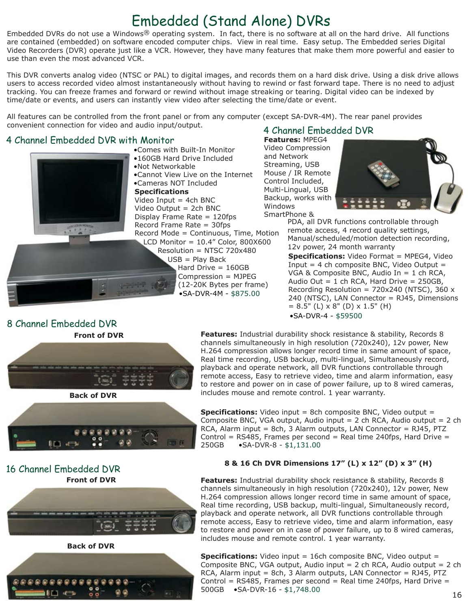# Embedded (Stand Alone) DVRs

Embedded DVRs do not use a Windows $\mathcal{R}$  operating system. In fact, there is no software at all on the hard drive. All functions are contained (embedded) on software encoded computer chips. View in real time. Easy setup. The Embedded series Digital Video Recorders (DVR) operate just like a VCR. However, they have many features that make them more powerful and easier to use than even the most advanced VCR.

This DVR converts analog video (NTSC or PAL) to digital images, and records them on a hard disk drive. Using a disk drive allows users to access recorded video almost instantaneously without having to rewind or fast forward tape. There is no need to adjust tracking. You can freeze frames and forward or rewind without image streaking or tearing. Digital video can be indexed by time/date or events, and users can instantly view video after selecting the time/date or event.

4 Channel Embedded DVR All features can be controlled from the front panel or from any computer (except SA-DVR-4M). The rear panel provides convenient connection for video and audio input/output.

### 4 Channel Embedded DVR with Monitor



**Features:** MPEG4 Video Compression and Network Streaming, USB Mouse / IR Remote Control Included, Multi-Lingual, USB Backup, works with Windows

SmartPhone &



PDA, all DVR functions controllable through remote access, 4 record quality settings, Manual/scheduled/motion detection recording, 12v power, 24 month warranty

•SA-DVR-4 - \$59500 **Specifications:** Video Format = MPEG4, Video Input =  $4$  ch composite BNC, Video Output = VGA & Composite BNC, Audio In = 1 ch RCA, Audio Out =  $1$  ch RCA, Hard Drive = 250GB, Recording Resolution =  $720x240$  (NTSC), 360 x 240 (NTSC), LAN Connector = RJ45, Dimensions  $= 8.5"$  (L) x 8" (D) x 1.5" (H)

### 8 Channel Embedded DVR **Front of DVR**



**Back of DVR**



**Features:** Industrial durability shock resistance & stability, Records 8 channels simultaneously in high resolution (720x240), 12v power, New H.264 compression allows longer record time in same amount of space, Real time recording, USB backup, multi-lingual, Simultaneously record, playback and operate network, all DVR functions controllable through remote access, Easy to retrieve video, time and alarm information, easy to restore and power on in case of power failure, up to 8 wired cameras, includes mouse and remote control. 1 year warranty.

**Specifications:** Video input = 8ch composite BNC, Video output = Composite BNC, VGA output, Audio input  $= 2$  ch RCA, Audio output  $= 2$  ch  $RCA$ , Alarm input = 8ch, 3 Alarm outputs, LAN Connector = RJ45, PTZ Control =  $RS485$ , Frames per second = Real time 240fps, Hard Drive = 250GB •SA-DVR-8 - \$1,131.00

16 Channel Embedded DVR **Front of DVR**



**Back of DVR**



### **8 & 16 Ch DVR Dimensions 17" (L) x 12" (D) x 3" (H)**

**Features:** Industrial durability shock resistance & stability, Records 8 channels simultaneously in high resolution (720x240), 12v power, New H.264 compression allows longer record time in same amount of space, Real time recording, USB backup, multi-lingual, Simultaneously record, playback and operate network, all DVR functions controllable through remote access, Easy to retrieve video, time and alarm information, easy to restore and power on in case of power failure, up to 8 wired cameras, includes mouse and remote control. 1 year warranty.

**Specifications:** Video input = 16ch composite BNC, Video output = Composite BNC, VGA output, Audio input  $= 2$  ch RCA, Audio output  $= 2$  ch RCA, Alarm input = 8ch, 3 Alarm outputs, LAN Connector = RJ45, PTZ Control =  $RS485$ , Frames per second = Real time 240fps, Hard Drive = 500GB •SA-DVR-16 - \$1,748.00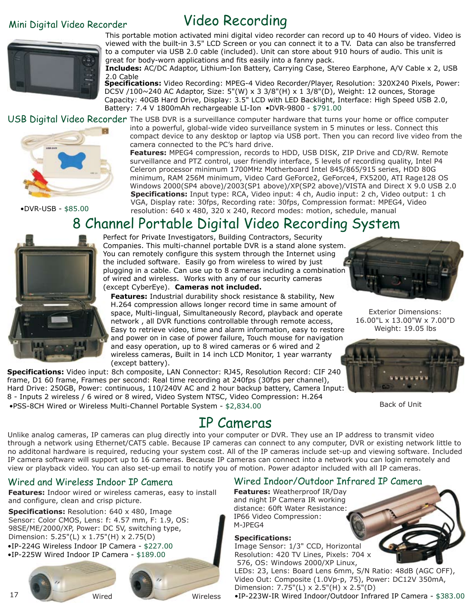# Mini Digital Video Recorder

# Video Recording



This portable motion activated mini digital video recorder can record up to 40 Hours of video. Video is viewed with the built-in 3.5" LCD Screen or you can connect it to a TV. Data can also be transferred to a computer via USB 2.0 cable (included). Unit can store about 910 hours of audio. This unit is great for body-worn applications and fits easily into a fanny pack.

**Includes:** AC/DC Adaptor, Lithium-Ion Battery, Carrying Case, Stereo Earphone, A/V Cable x 2, USB 2.0 Cable

**Specifications:** Video Recording: MPEG-4 Video Recorder/Player, Resolution: 320X240 Pixels, Power: DC5V /100~240 AC Adaptor, Size: 5"(W) x 3 3/8"(H) x 1 3/8"(D), Weight: 12 ounces, Storage Capacity: 40GB Hard Drive, Display: 3.5" LCD with LED Backlight, Interface: High Speed USB 2.0, Battery: 7.4 V 1800mAh rechargeable LI-Ion •DVR-9800 - \$791.00

USB Digital Video Recorder The USB DVR is a surveillance computer hardware that turns your home or office computer



into a powerful, global-wide video surveillance system in 5 minutes or less. Connect this compact device to any desktop or laptop via USB port. Then you can record live video from the camera connected to the PC's hard drive.

**Features:** MPEG4 compression, records to HDD, USB DISK, ZIP Drive and CD/RW. Remote surveillance and PTZ control, user friendly interface, 5 levels of recording quality, Intel P4 Celeron processor minimum 1700MHz Motherboard Intel 845/865/915 series, HDD 80G minimum, RAM 256M minimum, Video Card GeForce2, GeForce4, FX5200, ATI Rage128 OS Windows 2000(SP4 above)/2003(SP1 above)/XP(SP2 above)/VISTA and Direct X 9.0 USB 2.0 **Specifications:** Input type: RCA, Video input: 4 ch, Audio input: 2 ch, Video output: 1 ch VGA, Display rate: 30fps, Recording rate: 30fps, Compression format: MPEG4, Video resolution: 640 x 480, 320 x 240, Record modes: motion, schedule, manual •DVR-USB - \$85.00

# 8 Channel Portable Digital Video Recording System



Perfect for Private Investigators, Building Contractors, Security Companies. This multi-channel portable DVR is a stand alone system. You can remotely configure this system through the Internet using the included software. Easily go from wireless to wired by just plugging in a cable. Can use up to 8 cameras including a combination of wired and wireless. Works with any of our security cameras (except CyberEye). **Cameras not included.**

**Features:** Industrial durability shock resistance & stability, New H.264 compression allows longer record time in same amount of space, Multi-lingual, Simultaneously Record, playback and operate network , all DVR functions controllable through remote access, Easy to retrieve video, time and alarm information, easy to restore and power on in case of power failure, Touch mouse for navigation and easy operation, up to 8 wired cameras or 6 wired and 2 wireless cameras, Built in 14 inch LCD Monitor, 1 year warranty (except battery).

**Specifications:** Video input: 8ch composite, LAN Connector: RJ45, Resolution Record: CIF 240 frame, D1 60 frame, Frames per second: Real time recording at 240fps (30fps per channel), Hard Drive: 250GB, Power: continuous, 110/240V AC and 2 hour backup battery, Camera Input: 8 - Inputs 2 wireless / 6 wired or 8 wired, Video System NTSC, Video Compression: H.264 •PSS-8CH Wired or Wireless Multi-Channel Portable System - \$2,834.00



Exterior Dimensions: 16.00"L x 13.00"W x 7.00"D Weight: 19.05 lbs



Back of Unit

# IP Cameras

Unlike analog cameras, IP cameras can plug directly into your computer or DVR. They use an IP address to transmit video through a network using Ethernet/CAT5 cable. Because IP cameras can connect to any computer, DVR or existing network little to no additonal hardware is required, reducing your system cost. All of the IP cameras include set-up and viewing software. Included IP camera software will support up to 16 cameras. Because IP cameras can connect into a network you can login remotely and view or playback video. You can also set-up email to notify you of motion. Power adaptor included with all IP cameras.

# Wired and Wireless Indoor IP Camera

**Features:** Indoor wired or wireless cameras, easy to install and configure, clean and crisp picture.

**Specifications:** Resolution: 640 x 480, Image Sensor: Color CMOS, Lens: f: 4.57 mm, F: 1.9, OS: 98SE/ME/2000/XP, Power: DC 5V, switching type, Dimension: 5.25"(L) x 1.75"(H) x 2.75(D)

•IP-224G Wireless Indoor IP Camera - \$227.00 •IP-225W Wired Indoor IP Camera - \$189.00





# Wired Indoor/Outdoor Infrared IP Camera

**Features:** Weatherproof IR/Day and night IP Camera IR working distance: 60ft Water Resistance: IP66 Video Compression: M-JPEG4

#### **Specifications:**

Image Sensor: 1/3" CCD, Horizontal Resolution: 420 TV Lines, Pixels: 704 x 576, OS: Windows 2000/XP Linux,

LEDs: 23, Lens: Board Lens 6mm, S/N Ratio: 48dB (AGC OFF), Video Out: Composite (1.0Vp-p, 75), Power: DC12V 350mA, Dimension: 7.75"(L) x 2.5"(H) x 2.5"(D) •IP-223W-IR Wired Indoor/Outdoor Infrared IP Camera - \$383.00

17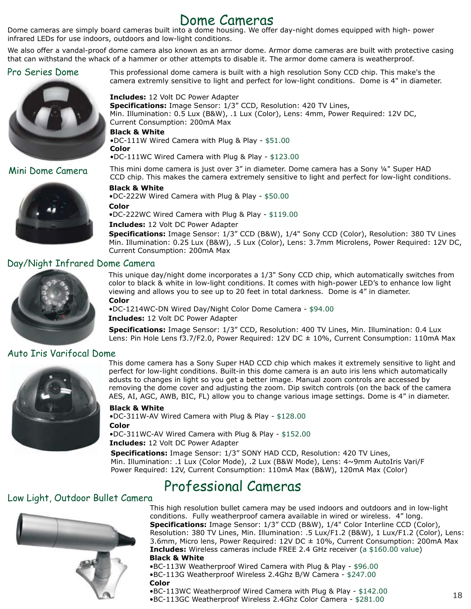# Dome Cameras

Dome cameras are simply board cameras built into a dome housing. We offer day-night domes equipped with high- power infrared LEDs for use indoors, outdoors and low-light conditions.

We also offer a vandal-proof dome camera also known as an armor dome. Armor dome cameras are built with protective casing that can withstand the whack of a hammer or other attempts to disable it. The armor dome camera is weatherproof.

### Pro Series Dome



Mini Dome Camera



This professional dome camera is built with a high resolution Sony CCD chip. This make's the camera extremly sensitive to light and perfect for low-light conditions. Dome is 4" in diameter.

**Includes:** 12 Volt DC Power Adapter **Specifications:** Image Sensor: 1/3" CCD, Resolution: 420 TV Lines, Min. Illumination: 0.5 Lux (B&W), .1 Lux (Color), Lens: 4mm, Power Required: 12V DC, Current Consumption: 200mA Max

**Black & White**

•DC-111W Wired Camera with Plug & Play - \$51.00 **Color**

•DC-111WC Wired Camera with Plug & Play - \$123.00

This mini dome camera is just over 3" in diameter. Dome camera has a Sony ¼" Super HAD CCD chip. This makes the camera extremely sensitive to light and perfect for low-light conditions.

**Black & White** •DC-222W Wired Camera with Plug & Play - \$50.00

**Color**

•DC-222WC Wired Camera with Plug & Play - \$119.00

**Includes:** 12 Volt DC Power Adapter

**Specifications:** Image Sensor: 1/3" CCD (B&W), 1/4" Sony CCD (Color), Resolution: 380 TV Lines Min. Illumination: 0.25 Lux (B&W), .5 Lux (Color), Lens: 3.7mm Microlens, Power Required: 12V DC, Current Consumption: 200mA Max

# Day/Night Infrared Dome Camera



This unique day/night dome incorporates a 1/3" Sony CCD chip, which automatically switches from color to black & white in low-light conditions. It comes with high-power LED's to enhance low light viewing and allows you to see up to 20 feet in total darkness. Dome is 4" in diameter. **Color**

•DC-1214WC-DN Wired Day/Night Color Dome Camera - \$94.00 **Includes:** 12 Volt DC Power Adapter

**Specifications:** Image Sensor: 1/3" CCD, Resolution: 400 TV Lines, Min. Illumination: 0.4 Lux Lens: Pin Hole Lens f3.7/F2.0, Power Required: 12V DC ± 10%, Current Consumption: 110mA Max

# Auto Iris Varifocal Dome



This dome camera has a Sony Super HAD CCD chip which makes it extremely sensitive to light and perfect for low-light conditions. Built-in this dome camera is an auto iris lens which automatically adusts to changes in light so you get a better image. Manual zoom controls are accessed by removing the dome cover and adjusting the zoom. Dip switch controls (on the back of the camera AES, AI, AGC, AWB, BIC, FL) allow you to change various image settings. Dome is 4" in diameter.

**Black & White**

•DC-311W-AV Wired Camera with Plug & Play - \$128.00 **Color**

•DC-311WC-AV Wired Camera with Plug & Play - \$152.00

**Includes:** 12 Volt DC Power Adapter

**Specifications:** Image Sensor: 1/3" SONY HAD CCD, Resolution: 420 TV Lines, Min. Illumination: .1 Lux (Color Mode), .2 Lux (B&W Mode), Lens: 4~9mm AutoIris Vari/F Power Required: 12V, Current Consumption: 110mA Max (B&W), 120mA Max (Color)

# Professional Cameras

# Low Light, Outdoor Bullet Camera



This high resolution bullet camera may be used indoors and outdoors and in low-light conditions. Fully weatherproof camera available in wired or wireless. 4" long. **Specifications:** Image Sensor: 1/3" CCD (B&W), 1/4" Color Interline CCD (Color), Resolution: 380 TV Lines, Min. Illumination: .5 Lux/F1.2 (B&W), 1 Lux/F1.2 (Color), Lens: 3.6mm, Micro lens, Power Required: 12V DC ± 10%, Current Consumption: 200mA Max **Includes:** Wireless cameras include FREE 2.4 GHz receiver (a \$160.00 value) **Black & White**

•BC-113W Weatherproof Wired Camera with Plug & Play - \$96.00 •BC-113G Weatherproof Wireless 2.4Ghz B/W Camera - \$247.00 **Color**

•BC-113WC Weatherproof Wired Camera with Plug & Play - \$142.00 •BC-113GC Weatherproof Wireless 2.4Ghz Color Camera - \$281.00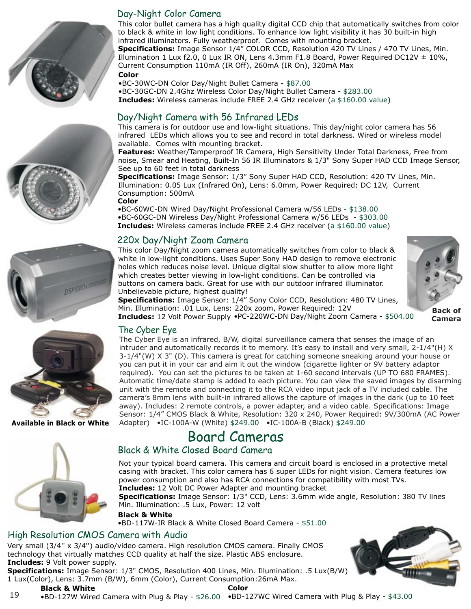







**Available in Black or White** 



# Day-Night Color Camera

This color bullet camera has a high quality digital CCD chip that automatically switches from color to black & white in low light conditions. To enhance low light visibility it has 30 built-in high infrared illuminators. Fully weatherproof. Comes with mounting bracket.

**Specifications:** Image Sensor 1/4" COLOR CCD, Resolution 420 TV Lines / 470 TV Lines, Min. Illumination 1 Lux f2.0, 0 Lux IR ON, Lens 4.3mm F1.8 Board, Power Required DC12V  $\pm$  10%, Current Consumption 110mA (IR Off), 260mA (IR On), 320mA Max

**Color**

•BC-30WC-DN Color Day/Night Bullet Camera - \$87.00 •BC-30GC-DN 2.4Ghz Wireless Color Day/Night Bullet Camera - \$283.00

**Includes:** Wireless cameras include FREE 2.4 GHz receiver (a \$160.00 value)

# Day/Night Camera with 56 Infrared LEDs

This camera is for outdoor use and low-light situations. This day/night color camera has 56 infrared LEDs which allows you to see and record in total darkness. Wired or wireless model available. Comes with mounting bracket.

**Features:** Weather/Tamperproof IR Camera, High Sensitivity Under Total Darkness, Free from noise, Smear and Heating, Built-In 56 IR Illuminators & 1/3" Sony Super HAD CCD Image Sensor, See up to 60 feet in total darkness

**Specifications:** Image Sensor: 1/3" Sony Super HAD CCD, Resolution: 420 TV Lines, Min. Illumination: 0.05 Lux (Infrared On), Lens: 6.0mm, Power Required: DC 12V, Current Consumption: 500mA **Color**

•BC-60WC-DN Wired Day/Night Professional Camera w/56 LEDs - \$138.00 •BC-60GC-DN Wireless Day/Night Professional Camera w/56 LEDs - \$303.00 **Includes:** Wireless cameras include FREE 2.4 GHz receiver (a \$160.00 value)

# 220x Day/Night Zoom Camera

This color Day/Night zoom camera automatically switches from color to black & white in low-light conditions. Uses Super Sony HAD design to remove electronic holes which reduces noise level. Unique digital slow shutter to allow more light which creates better viewing in low-light conditions. Can be controlled via buttons on camera back. Great for use with our outdoor infrared illuminator. Unbelievable picture, highest quality!

**Specifications:** Image Sensor: 1/4" Sony Color CCD, Resolution: 480 TV Lines, Min. Illumination: .01 Lux, Lens: 220x zoom, Power Required: 12V

**Back of** 

**Camera**

**Includes:** 12 Volt Power Supply •PC-220WC-DN Day/Night Zoom Camera - \$504.00

# The Cyber Eye

The Cyber Eye is an infrared, B/W, digital surveillance camera that senses the image of an intruder and automatically records it to memory. It's easy to install and very small, 2-1/4"(H) X 3-1/4"(W) X 3" (D). This camera is great for catching someone sneaking around your house or you can put it in your car and aim it out the window (cigarette lighter or 9V battery adaptor required). You can set the pictures to be taken at 1-60 second intervals (UP TO 680 FRAMES). Automatic time/date stamp is added to each picture. You can view the saved images by disarming unit with the remote and connecting it to the RCA video input jack of a TV included cable. The camera's 8mm lens with built-in infrared allows the capture of images in the dark (up to 10 feet away). Includes: 2 remote controls, a power adapter, and a video cable. Specifications: Image Sensor: 1/4" CMOS Black & White, Resolution: 320 x 240, Power Required: 9V/300mA (AC Power Adapter) •IC-100A-W (White) \$249.00 •IC-100A-B (Black) \$249.00

# Board Cameras

# Black & White Closed Board Camera

Not your typical board camera. This camera and circuit board is enclosed in a protective metal casing with bracket. This color camera has 6 super LEDs for night vision. Camera features low power consumption and also has RCA connections for compatibility with most TVs. **Includes:** 12 Volt DC Power Adapter and mounting bracket

**Specifications:** Image Sensor: 1/3" CCD, Lens: 3.6mm wide angle, Resolution: 380 TV lines Min. Illumination: .5 Lux, Power: 12 volt

### **Black & White**

•BD-117W-IR Black & White Closed Board Camera - \$51.00

# High Resolution CMOS Camera with Audio

Very small (3/4'' x 3/4'') audio/video camera. High resolution CMOS camera. Finally CMOS technology that virtually matches CCD quality at half the size. Plastic ABS enclosure. **Includes:** 9 Volt power supply.

**Specifications:** Image Sensor: 1/3" CMOS, Resolution 400 Lines, Min. Illumination: .5 Lux(B/W) 1 Lux(Color), Lens: 3.7mm (B/W), 6mm (Color), Current Consumption:26mA Max.

**Black & White**

**Color**



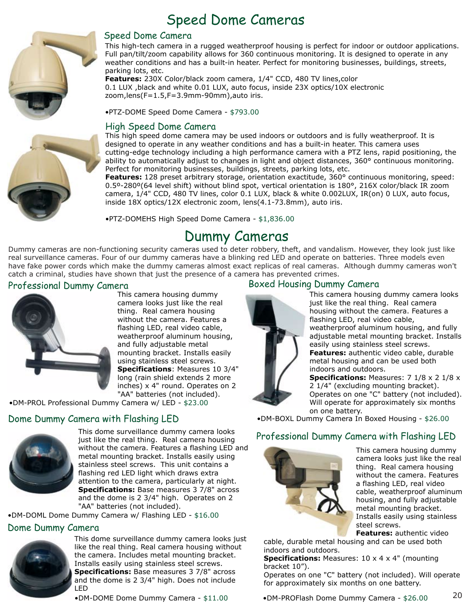# Speed Dome Cameras



### Speed Dome Camera

This high-tech camera in a rugged weatherproof housing is perfect for indoor or outdoor applications. Full pan/tilt/zoom capability allows for 360 continuous monitoring. It is designed to operate in any weather conditions and has a built-in heater. Perfect for monitoring businesses, buildings, streets, parking lots, etc.

**Features:** 230X Color/black zoom camera, 1/4" CCD, 480 TV lines,color 0.1 LUX ,black and white 0.01 LUX, auto focus, inside 23X optics/10X electronic zoom,lens(F=1.5,F=3.9mm-90mm),auto iris.

•PTZ-DOME Speed Dome Camera - \$793.00

### High Speed Dome Camera

This high speed dome camera may be used indoors or outdoors and is fully weatherproof. It is designed to operate in any weather conditions and has a built-in heater. This camera uses cutting-edge technology including a high performance camera with a PTZ lens, rapid positioning, the ability to automatically adjust to changes in light and object distances, 360° continuous monitoring. Perfect for monitoring businesses, buildings, streets, parking lots, etc.

**Features:** 128 preset arbitrary storage, orientation exactitude, 360° continuous monitoring, speed: 0.5º-280º(64 level shift) without blind spot, vertical orientation is 180°, 216X color/black IR zoom camera, 1/4" CCD, 480 TV lines, color 0.1 LUX, black & white 0.002LUX, IR(on) 0 LUX, auto focus, inside 18X optics/12X electronic zoom, lens(4.1-73.8mm), auto iris.

•PTZ-DOMEHS High Speed Dome Camera - \$1,836.00

# Dummy Cameras

Dummy cameras are non-functioning security cameras used to deter robbery, theft, and vandalism. However, they look just like real surveillance cameras. Four of our dummy cameras have a blinking red LED and operate on batteries. Three models even have fake power cords which make the dummy cameras almost exact replicas of real cameras. Although dummy cameras won't catch a criminal, studies have shown that just the presence of a camera has prevented crimes.

### Professional Dummy Camera



This camera housing dummy camera looks just like the real thing. Real camera housing without the camera. Features a flashing LED, real video cable, weatherproof aluminum housing, and fully adjustable metal mounting bracket. Installs easily using stainless steel screws. **Specifications**: Measures 10 3/4" long (rain shield extends 2 more inches) x 4" round. Operates on 2 "AA" batteries (not included).

•DM-PROL Professional Dummy Camera w/ LED - \$23.00

# Dome Dummy Camera with Flashing LED



This dome surveillance dummy camera looks just like the real thing. Real camera housing without the camera. Features a flashing LED and metal mounting bracket. Installs easily using stainless steel screws. This unit contains a flashing red LED light which draws extra attention to the camera, particularly at night. **Specifications:** Base measures 3 7/8" across and the dome is 2 3/4" high. Operates on 2 "AA" batteries (not included).

•DM-DOML Dome Dummy Camera w/ Flashing LED - \$16.00

# Dome Dummy Camera



This dome surveillance dummy camera looks just like the real thing. Real camera housing without the camera. Includes metal mounting bracket. Installs easily using stainless steel screws. **Specifications:** Base measures 3 7/8" across and the dome is 2 3/4" high. Does not include LED

•DM-DOME Dome Dummy Camera - \$11.00

# Boxed Housing Dummy Camera



This camera housing dummy camera looks just like the real thing. Real camera housing without the camera. Features a flashing LED, real video cable, weatherproof aluminum housing, and fully adjustable metal mounting bracket. Installs easily using stainless steel screws. **Features:** authentic video cable, durable metal housing and can be used both

indoors and outdoors. **Specifications:** Measures: 7 1/8 x 2 1/8 x 2 1/4" (excluding mounting bracket). Operates on one "C" battery (not included). Will operate for approximately six months

on one battery.

•DM-BOXL Dummy Camera In Boxed Housing - \$26.00

# Professional Dummy Camera with Flashing LED



This camera housing dummy camera looks just like the real thing. Real camera housing without the camera. Features a flashing LED, real video cable, weatherproof aluminum housing, and fully adjustable metal mounting bracket. Installs easily using stainless steel screws. **Features:** authentic video

cable, durable metal housing and can be used both indoors and outdoors.

**Specifications:** Measures: 10 x 4 x 4" (mounting bracket 10").

Operates on one "C" battery (not included). Will operate for approximately six months on one battery.

•DM-PROFlash Dome Dummy Camera - \$26.00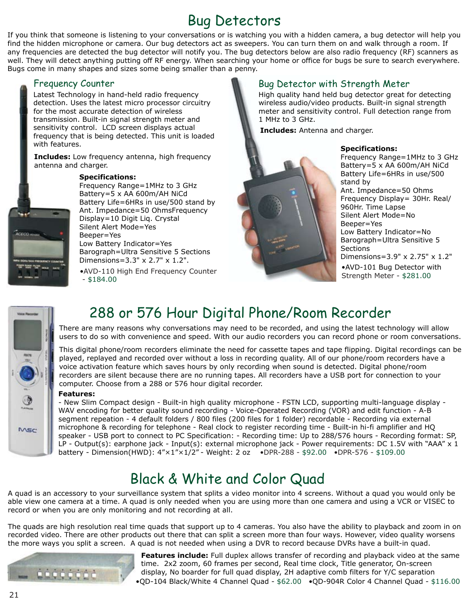# Bug Detectors

If you think that someone is listening to your conversations or is watching you with a hidden camera, a bug detector will help you find the hidden microphone or camera. Our bug detectors act as sweepers. You can turn them on and walk through a room. If any frequencies are detected the bug detector will notify you. The bug detectors below are also radio frequency (RF) scanners as well. They will detect anything putting off RF energy. When searching your home or office for bugs be sure to search everywhere. Bugs come in many shapes and sizes some being smaller than a penny.

# Frequency Counter

Latest Technology in hand-held radio frequency detection. Uses the latest micro processor circuitry for the most accurate detection of wireless transmission. Built-in signal strength meter and sensitivity control. LCD screen displays actual frequency that is being detected. This unit is loaded with features.

**Includes:** Low frequency antenna, high frequency antenna and charger.

#### **Specifications:**



Frequency Range=1MHz to 3 GHz Battery=5 x AA 600m/AH NiCd Battery Life=6HRs in use/500 stand by Ant. Impedance=50 OhmsFrequency Display=10 Digit Liq. Crystal Silent Alert Mode=Yes Beeper=Yes Low Battery Indicator=Yes

Barograph=Ultra Sensitive 5 Sections Dimensions=3.3" x 2.7" x 1.2".

•AVD-110 High End Frequency Counter - \$184.00

# Bug Detector with Strength Meter

High quality hand held bug detector great for detecting wireless audio/video products. Built-in signal strength meter and sensitivity control. Full detection range from 1 MHz to 3 GHz.

**Includes:** Antenna and charger.



### **Specifications:**

•AVD-101 Bug Detector with Strength Meter - \$281.00 Frequency Range=1MHz to 3 GHz Battery=5 x AA 600m/AH NiCd Battery Life=6HRs in use/500 stand by Ant. Impedance=50 Ohms Frequency Display= 30Hr. Real/ 960Hr. Time Lapse Silent Alert Mode=No Beeper=Yes Low Battery Indicator=No Barograph=Ultra Sensitive 5 **Sections** Dimensions=3.9" x 2.75" x 1.2"



# 288 or 576 Hour Digital Phone/Room Recorder

There are many reasons why conversations may need to be recorded, and using the latest technology will allow users to do so with convenience and speed. With our audio recorders you can record phone or room conversations.

This digital phone/room recorders eliminate the need for cassette tapes and tape flipping. Digital recordings can be played, replayed and recorded over without a loss in recording quality. All of our phone/room recorders have a voice activation feature which saves hours by only recording when sound is detected. Digital phone/room recorders are silent because there are no running tapes. All recorders have a USB port for connection to your computer. Choose from a 288 or 576 hour digital recorder.

#### **Features:**

- New Slim Compact design - Built-in high quality microphone - FSTN LCD, supporting multi-language display - WAV encoding for better quality sound recording - Voice-Operated Recording (VOR) and edit function - A-B segment repeation - 4 default folders / 800 files (200 files for 1 folder) recordable - Recording via external microphone & recording for telephone - Real clock to register recording time - Built-in hi-fi amplifier and HQ speaker - USB port to connect to PC Specification: - Recording time: Up to 288/576 hours - Recording format: SP, LP - Output(s): earphone jack - Input(s): external microphone jack - Power requirements: DC 1.5V with "AAA" x 1 battery - Dimension(HWD): 4"×1"×1/2" - Weight: 2 oz •DPR-288 - \$92.00 •DPR-576 - \$109.00

# Black & White and Color Quad

A quad is an accessory to your surveillance system that splits a video monitor into 4 screens. Without a quad you would only be able view one camera at a time. A quad is only needed when you are using more than one camera and using a VCR or VISEC to record or when you are only monitoring and not recording at all.

The quads are high resolution real time quads that support up to 4 cameras. You also have the ability to playback and zoom in on recorded video. There are other products out there that can split a screen more than four ways. However, video quality worsens the more ways you split a screen. A quad is not needed when using a DVR to record because DVRs have a built-in quad.



**Features include:** Full duplex allows transfer of recording and playback video at the same time. 2x2 zoom, 60 frames per second, Real time clock, Title generator, On-screen display, No boarder for full quad display, 2H adaptive comb filters for Y/C separation

•QD-104 Black/White 4 Channel Quad - \$62.00 •QD-904R Color 4 Channel Quad - \$116.00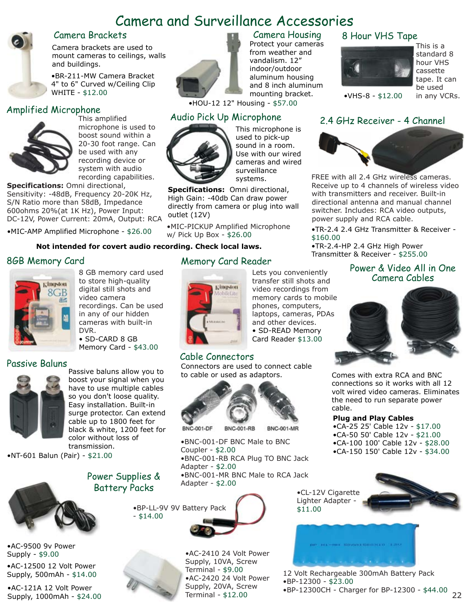# Camera and Surveillance Accessories



### Camera Brackets

Camera brackets are used to mount cameras to ceilings, walls and buildings.

•BR-211-MW Camera Bracket 4" to 6" Curved w/Ceiling Clip WHITE - \$12.00

### Amplified Microphone



This amplified microphone is used to boost sound within a 20-30 foot range. Can be used with any recording device or system with audio recording capabilities.

**Specifications:** Omni directional, Sensitivity: -48dB, Frequency 20-20K Hz, S/N Ratio more than 58dB, Impedance 600ohms 20%(at 1K Hz), Power Input: DC-12V, Power Current: 20mA, Output: RCA

•MIC-AMP Amplified Microphone - \$26.00

#### **Not intended for covert audio recording. Check local laws.**

### 8GB Memory Card



8 GB memory card used to store high-quality digital still shots and video camera recordings. Can be used in any of our hidden cameras with built-in DVR. • SD-CARD 8 GB

Memory Card - \$43.00

# Passive Baluns



Passive baluns allow you to boost your signal when you have to use multiple cables so you don't loose quality. Easy installation. Built-in surge protector. Can extend cable up to 1800 feet for black & white, 1200 feet for color without loss of transmission.

- \$14.00

•NT-601 Balun (Pair) - \$21.00



•AC-9500 9v Power Supply - \$9.00 •AC-12500 12 Volt Power Supply, 500mAh - \$14.00

•AC-121A 12 Volt Power Supply, 1000mAh - \$24.00



•HOU-12 12" Housing - \$57.00

## Audio Pick Up Microphone



This microphone is used to pick-up sound in a room. Use with our wired cameras and wired surveillance systems.

Camera Housing

Protect your cameras from weather and vandalism. 12" indoor/outdoor aluminum housing and 8 inch aluminum mounting bracket.

**Specifications:** Omni directional, High Gain: -40db Can draw power directly from camera or plug into wall outlet (12V)

•MIC-PICKUP Amplified Microphone w/ Pick Up Box - \$26.00

# Memory Card Reader



Lets you conveniently transfer still shots and video recordings from memory cards to mobile phones, computers, laptops, cameras, PDAs and other devices. • SD-READ Memory Card Reader \$13.00

### Cable Connectors

Connectors are used to connect cable to cable or used as adaptors. Comes with extra RCA and BNC



**BNC-001-DF BNC-001-RB BNC-001-MR** 

•BNC-001-DF BNC Male to BNC Coupler - \$2.00 •BNC-001-RB RCA Plug TO BNC Jack Adapter - \$2.00 •BNC-001-MR BNC Male to RCA Jack

Adapter - \$2.00



•AC-2410 24 Volt Power Supply, 10VA, Screw Terminal - \$9.00 •AC-2420 24 Volt Power Supply, 20VA, Screw Terminal - \$12.00

### 8 Hour VHS Tape



This is a standard 8 hour VHS cassette tape. It can be used in any VCRs.

•VHS-8 - \$12.00

2.4 GHz Receiver - 4 Channel



FREE with all 2.4 GHz wireless cameras. Receive up to 4 channels of wireless video with transmitters and receiver. Built-in directional antenna and manual channel switcher. Includes: RCA video outputs, power supply and RCA cable.

•TR-2.4 2.4 GHz Transmitter & Receiver - \$160.00

•TR-2.4-HP 2.4 GHz High Power Transmitter & Receiver - \$255.00

### Power & Video All in One Camera Cables



connections so it works with all 12 volt wired video cameras. Eliminates the need to run separate power cable.

**Plug and Play Cables**

•CA-25 25' Cable 12v - \$17.00 •CA-50 50' Cable 12v - \$21.00 •CA-100 100' Cable 12v - \$28.00 •CA-150 150' Cable 12v - \$34.00



\$11.00

12 Volt Rechargeable 300mAh Battery Pack •BP-12300 - \$23.00 •BP-12300CH - Charger for BP-12300 - \$44.00